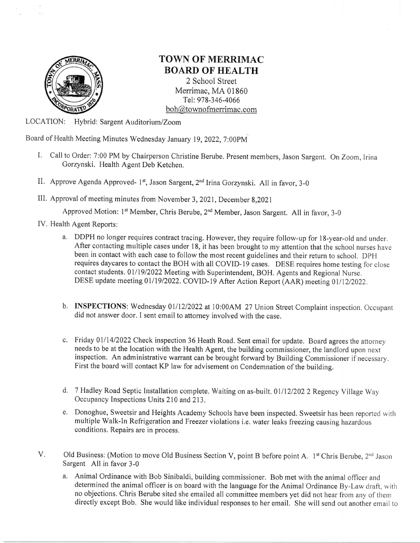

## TOWN OF MERRIMAC: BOARD OF HEALTH

2 School Street Merrimac, MA 01860 Tel: 978-346-4066 boh@townofmenimac. com

LOCATION: Hybrid: Sargent Auditorium/Zoom

Board of Health Meeting Minutes Wednesday January 19, 2022, 7:00PM

- I. Call to Order: 7:00 PM by Chairperson Christine Berube. Present members, Jason Sargent. On Zoom, Irina Gorzynski. Health Agent Deb Ketchen.
- II. Approve Agenda Approved- 1<sup>st</sup>, Jason Sargent, 2<sup>nd</sup> Irina Gorzynski. All in favor, 3-0
- III. Approval of meeting minutes from November 3, 2021, December 8,2021

Approved Motion: 1<sup>st</sup> Member, Chris Berube, 2<sup>nd</sup> Member, Jason Sargent. All in favor, 3-0

- IV. Health Agent Reports:
	- a. DDPH no longer requires contract tracing, However, they require follow-up for l8-year-old and under. After contacting multiple cases under 18, it has been brought to my attention that the school nurses have been in contact with each case to follow the most recent guidelines and their return to school. DPH requires daycares to contact the BOH with all COVID- l9 cases. DESE requires home testing for close contact students. 01/19/2022 Meeting with Superintendent, BOH. Agents and Regional Nurse. DESE update meeting 01/19/2022. COVID-19 After Action Report (AAR) meeting 01/12/2022.
	- b. INSPECTIONS: Wednesday 01/12/2022 at 10:00AM 27 Union Street Complaint inspection. Occupant did not answer door. I sent email to attorney involved with the case.
	- c. Friday 01/14/2022 Check inspection 36 Heath Road. Sent email for update. Board agrees the attorney needs to be at the location with the Health Agent, the building commissioner, the landlord upon next inspection. An administrative warrant can be brought forward by Building Commissioner if necessary. First the board will contact KP law for advisement on Condemnation of the building.
	- d. 7 Hadley Road Septic Installation complete. Waiting on as-built. 01/12/202 2 Regency Village Way Occupancy Inspections Units 210 and 213.
	- e, Donoghue, Sweetsir and Heights Academy Schools have been inspected. Sweetsir has been reported with multiple Walk-ln Refrigeration and Freezer violations i.e. water teaks freezing causing hazardous conditions. Repairs are in process.
- V. Old Business: (Motion to move Old Business Section V, point B before point A. 1<sup>st</sup> Chris Berube, 2<sup>nd</sup> Jason Sargent All in favor 3-0
	- a. Animal Ordinance with Bob Sinibaldi, building commissioner. Bob met with the animal officer and determined the animal officer is on board with the language for the Animat Ordinance By-Law draft, with no objections. Chris Berube sited she emailed all commiffee members yet did not hear from any of thern directly except Bob. She would like individual responses to her email. She will send out another email to